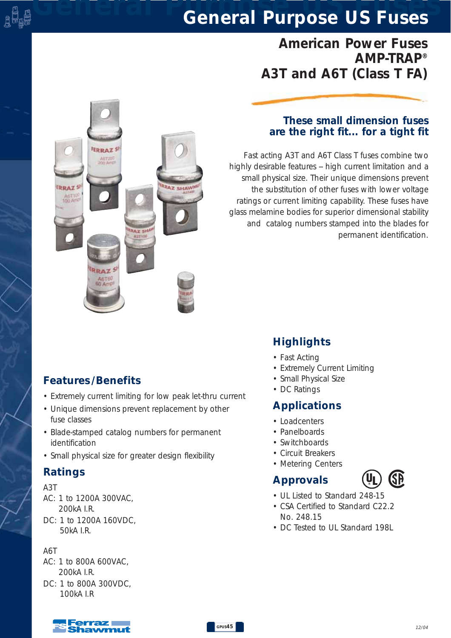## *American Power Fuses AMP-TRAP® A3T and A6T (Class T FA)*

### *These small dimension fuses are the right fit... for a tight fit*

*Fast acting A3T and A6T Class T fuses combine two highly desirable features -- high current limitation and a small physical size. Their unique dimensions prevent the substitution of other fuses with lower voltage ratings or current limiting capability. These fuses have glass melamine bodies for superior dimensional stability and catalog numbers stamped into the blades for permanent identification.*

### *Features /Benefits*

ERDAT AUT20

**RRA7** 

*• Extremely current limiting for low peak let-thru current*

**Z SHAV** 

- *Unique dimensions prevent replacement by other fuse classes*
- *Blade-stamped catalog numbers for permanent identification*
- *Small physical size for greater design flexibility*

### *Ratings*

#### *A3T*

o ü<br>Japa

- *AC: 1 to 1200A 300VAC, 200kA I.R.*
- *DC: 1 to 1200A 160VDC, 50kA I.R.*

#### *A6T*

- *AC: 1 to 800A 600VAC, 200kA I.R.*
- *DC: 1 to 800A 300VDC, 100kA I.R*

## *Highlights*

- *Fast Acting*
- *Extremely Current Limiting*
- *Small Physical Size*
- *DC Ratings*

### *Applications*

- *Loadcenters*
- *Panelboards*
- *Switchboards*
- *Circuit Breakers*
- *Metering Centers*

## *Approvals*



- *UL Listed to Standard 248-15*
- *CSA Certified to Standard C22.2 No. 248.15*
- *DC Tested to UL Standard 198L*

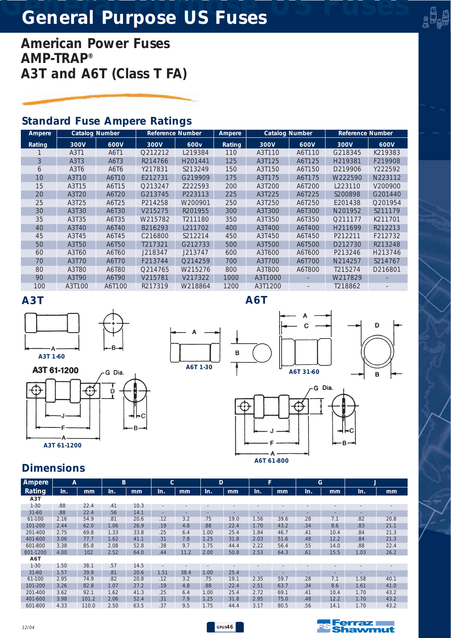*American Power Fuses AMP-TRAP® A3T and A6T (Class T FA)*

## *Standard Fuse Ampere Ratings*

| Ampere | <b>Catalog Number</b> |        | <b>Reference Number</b> |                     | Ampere | <b>Catalog Number</b> |        | <b>Reference Number</b> |         |
|--------|-----------------------|--------|-------------------------|---------------------|--------|-----------------------|--------|-------------------------|---------|
| Rating | 300V                  | 600V   | 300V                    | 600 <sub>v</sub>    | Rating | 300V                  | 600V   | 300V                    | 600V    |
|        | A3T1                  | A6T1   | Q212212                 | L219384             | 110    | A3T110                | A6T110 | G218345                 | K219383 |
| 3      | A3T3                  | A6T3   | R214766                 | H <sub>201441</sub> | 125    | A3T125                | A6T125 | H <sub>219381</sub>     | F219908 |
| 6      | A3T6                  | A6T6   | Y217831                 | S213249             | 150    | A3T150                | A6T150 | D219906                 | Y222592 |
| 10     | A3T10                 | A6T10  | E212731                 | G219909             | 175    | A3T175                | A6T175 | W222590                 | N223112 |
| 15     | A3T15                 | A6T15  | Q213247                 | Z222593             | 200    | A3T200                | A6T200 | L223110                 | V200900 |
| 20     | A3T20                 | A6T20  | G213745                 | P223113             | 225    | A3T225                | A6T225 | S200898                 | G201440 |
| 25     | A3T25                 | A6T25  | P214258                 | W200901             | 250    | A3T250                | A6T250 | E201438                 | Q201954 |
| 30     | A3T30                 | A6T30  | V215275                 | R201955             | 300    | A3T300                | A6T300 | N201952                 | S211179 |
| 35     | A3T35                 | A6T35  | W215782                 | T211180             | 350    | A3T350                | A6T350 | Q211177                 | K211701 |
| 40     | A3T40                 | A6T40  | B216293                 | L211702             | 400    | A3T400                | A6T400 | H211699                 | R212213 |
| 45     | A3T45                 | A6T45  | C216800                 | S212214             | 450    | A3T450                | A6T450 | P212211                 | F212732 |
| 50     | A3T50                 | A6T50  | T217321                 | G212733             | 500    | A3T500                | A6T500 | D212730                 | R213248 |
| 60     | A3T60                 | A6T60  | J218347                 | J213747             | 600    | A3T600                | A6T600 | P213246                 | H213746 |
| 70     | A3T70                 | A6T70  | F213744                 | Q214259             | 700    | A3T700                | A6T700 | N214257                 | S214767 |
| 80     | A3T80                 | A6T80  | O214765                 | W215276             | 800    | A3T800                | A6T800 | T215274                 | D216801 |
| 90     | A3T90                 | A6T90  | V215781                 | V217322             | 1000   | A3T1000               |        | W217829                 |         |
| 100    | A3T100                | A6T100 | R217319                 | W218864             | 1200   | A3T1200               |        | T218862                 |         |

*A6T*

#### *A3T*









 $\mathbf{C}$ 

D



| Ampere    | A    |       | B    |      | C                        |      | D    |      | F.   |      | G      |      | J    |      |
|-----------|------|-------|------|------|--------------------------|------|------|------|------|------|--------|------|------|------|
| Rating    | In.  | mm    | In.  | mm   | In.                      | mm   | In.  | mm   | In.  | mm   | In.    | mm   | In.  | mm   |
| A3T       |      |       |      |      |                          |      |      |      |      |      |        |      |      |      |
| $1 - 30$  | .88  | 22.4  | .41  | 10.3 | $\sim$                   |      |      |      |      |      |        |      |      |      |
| $31 - 60$ | .88  | 22.4  | .56  | 14.1 | ۰.                       |      |      |      |      |      |        |      |      |      |
| 61-100    | 2.16 | 54.9  | .81  | 20.6 | .12                      | 3.2  | .75  | 19.0 | 1.56 | 39.6 | .28    | 7.1  | .82  | 20.8 |
| 101-200   | 2.44 | 62.0  | 1.06 | 26.9 | .19                      | 4.8  | .88  | 22.4 | 1.70 | 43.2 | .34    | 8.6  | .83  | 21.1 |
| 201-400   | 2.75 | 69.8  | 1.33 | 33.8 | .25                      | 6.4  | 1.00 | 25.4 | 1.84 | 46.7 | .41    | 10.4 | .84  | 21.3 |
| 401-600   | 3.06 | 77.7  | 1.62 | 41.1 | .31                      | 7.8  | 1.25 | 31.8 | 2.03 | 51.6 | .48    | 12.2 | .84  | 21.3 |
| 601-800   | 3.38 | 85.8  | 2.08 | 52.8 | .38                      | 9.7  | 1.75 | 44.4 | 2.22 | 56.4 | .55    | 14.0 | .88  | 22.4 |
| 801-1200  | 4.00 | 102   | 2.52 | 64.0 | .44                      | 11.2 | 2.00 | 50.8 | 2.53 | 64.3 | .61    | 15.5 | 1.03 | 26.2 |
| A6T       |      |       |      |      |                          |      |      |      |      |      |        |      |      |      |
| $1 - 30$  | 1.50 | 38.1  | .57  | 14.5 | $\overline{\phantom{a}}$ |      |      |      |      |      |        |      |      |      |
| $31 - 60$ | 1.57 | 39.9  | .81  | 20.6 | 1.51                     | 38.4 | 1.00 | 25.4 |      |      | $\sim$ |      |      | ۰    |
| 61-100    | 2.95 | 74.9  | .82  | 20.8 | .12                      | 3.2  | .75  | 19.1 | 2.35 | 59.7 | .28    | 7.1  | 1.58 | 40.1 |
| 101-200   | 3.26 | 82.8  | 1.07 | 27.2 | .19                      | 4.8  | .88  | 22.4 | 2.51 | 63.7 | .34    | 8.6  | 1.61 | 41.0 |
| 201-400   | 3.62 | 92.1  | 1.62 | 41.3 | .25                      | 6.4  | 1.00 | 25.4 | 2.72 | 69.1 | .41    | 10.4 | 1.70 | 43.2 |
| 401-600   | 3.98 | 101.2 | 2.06 | 52.4 | .31                      | 7.9  | 1.25 | 31.8 | 2.95 | 75.0 | .48    | 12.2 | 1.70 | 43.2 |
| 601-800   | 4.33 | 110.0 | 2.50 | 63.5 | .37                      | 9.5  | 1.75 | 44.4 | 3.17 | 80.5 | .56    | 14.1 | 1.70 | 43.2 |



a <sup>a</sup>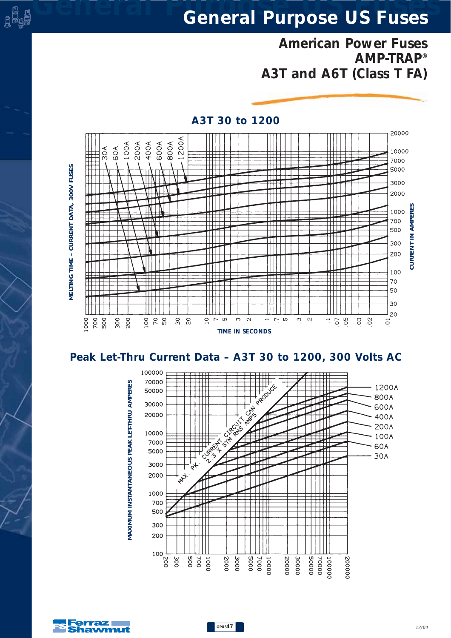*American Power Fuses AMP-TRAP® A3T and A6T (Class T FA)*



#### *A3T 30 to 1200*



100000 70000 A PRODUCED 1200A 拱 50000 800A Τ  $\perp$ 30000 Loss 600A 20000 400A **Creative** 200A 10000 **CHA HITAL** 100A 7000 60A 5000  $-30A$  $\frac{1}{\sqrt{2}}$ ⇈ 3000  $\downarrow^{\omega+1}$ 2000 1000 700 500 300 200 100  $\frac{700}{500}$ 0002  $0005$ 00002 0000E 00005 00004 300 3000 7000 100000 200 10000 200000 0001



*MAXIMUM INSTANTANEOUS PEAK LET-THRU AMPERES*

VIAXIMUM INSTANTANEOUS PEAK LET-THRU AMPERES

e <sup>e</sup>